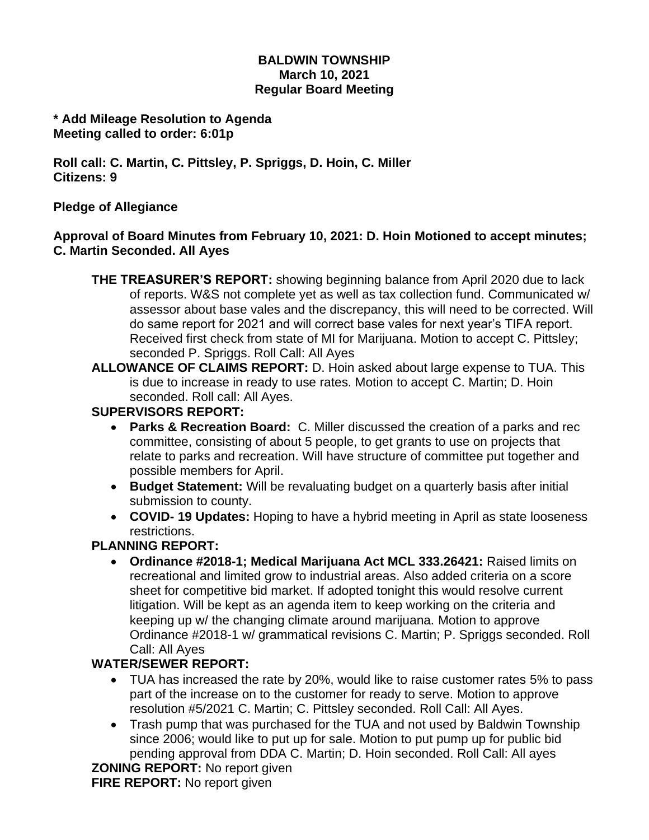#### **BALDWIN TOWNSHIP March 10, 2021 Regular Board Meeting**

#### **\* Add Mileage Resolution to Agenda Meeting called to order: 6:01p**

**Roll call: C. Martin, C. Pittsley, P. Spriggs, D. Hoin, C. Miller Citizens: 9**

## **Pledge of Allegiance**

## **Approval of Board Minutes from February 10, 2021: D. Hoin Motioned to accept minutes; C. Martin Seconded. All Ayes**

- **THE TREASURER'S REPORT:** showing beginning balance from April 2020 due to lack of reports. W&S not complete yet as well as tax collection fund. Communicated w/ assessor about base vales and the discrepancy, this will need to be corrected. Will do same report for 2021 and will correct base vales for next year's TIFA report. Received first check from state of MI for Marijuana. Motion to accept C. Pittsley; seconded P. Spriggs. Roll Call: All Ayes
- **ALLOWANCE OF CLAIMS REPORT:** D. Hoin asked about large expense to TUA. This is due to increase in ready to use rates. Motion to accept C. Martin; D. Hoin seconded. Roll call: All Ayes.

## **SUPERVISORS REPORT:**

- **Parks & Recreation Board:** C. Miller discussed the creation of a parks and rec committee, consisting of about 5 people, to get grants to use on projects that relate to parks and recreation. Will have structure of committee put together and possible members for April.
- **Budget Statement:** Will be revaluating budget on a quarterly basis after initial submission to county.
- **COVID- 19 Updates:** Hoping to have a hybrid meeting in April as state looseness restrictions.

# **PLANNING REPORT:**

• **Ordinance #2018-1; Medical Marijuana Act MCL 333.26421:** Raised limits on recreational and limited grow to industrial areas. Also added criteria on a score sheet for competitive bid market. If adopted tonight this would resolve current litigation. Will be kept as an agenda item to keep working on the criteria and keeping up w/ the changing climate around marijuana. Motion to approve Ordinance #2018-1 w/ grammatical revisions C. Martin; P. Spriggs seconded. Roll Call: All Ayes

# **WATER/SEWER REPORT:**

- TUA has increased the rate by 20%, would like to raise customer rates 5% to pass part of the increase on to the customer for ready to serve. Motion to approve resolution #5/2021 C. Martin; C. Pittsley seconded. Roll Call: All Ayes.
- Trash pump that was purchased for the TUA and not used by Baldwin Township since 2006; would like to put up for sale. Motion to put pump up for public bid pending approval from DDA C. Martin; D. Hoin seconded. Roll Call: All ayes

**ZONING REPORT:** No report given

**FIRE REPORT:** No report given